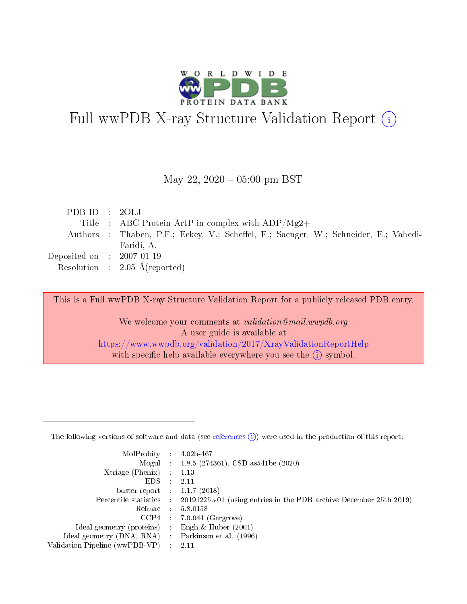

# Full wwPDB X-ray Structure Validation Report (i)

#### May 22,  $2020 - 05:00$  pm BST

| PDBID : 2OLJ                |                                                                                      |
|-----------------------------|--------------------------------------------------------------------------------------|
|                             | Title : ABC Protein ArtP in complex with $ADP/Mg2+$                                  |
|                             | Authors : Thaben, P.F.; Eckey, V.; Scheffel, F.; Saenger, W.; Schneider, E.; Vahedi- |
|                             | Faridi, A.                                                                           |
| Deposited on : $2007-01-19$ |                                                                                      |
|                             | Resolution : $2.05 \text{ Å}$ (reported)                                             |

This is a Full wwPDB X-ray Structure Validation Report for a publicly released PDB entry.

We welcome your comments at validation@mail.wwpdb.org A user guide is available at <https://www.wwpdb.org/validation/2017/XrayValidationReportHelp> with specific help available everywhere you see the  $(i)$  symbol.

The following versions of software and data (see [references](https://www.wwpdb.org/validation/2017/XrayValidationReportHelp#references)  $(1)$ ) were used in the production of this report:

| MolProbity : 4.02b-467         |   |                                                                                              |
|--------------------------------|---|----------------------------------------------------------------------------------------------|
|                                |   | Mogul : 1.8.5 (274361), CSD as 541be (2020)                                                  |
| $X$ triage (Phenix) :          |   | 1.13                                                                                         |
| EDS.                           |   | 2.11                                                                                         |
| buster-report : $1.1.7$ (2018) |   |                                                                                              |
|                                |   | Percentile statistics : $20191225.v01$ (using entries in the PDB archive December 25th 2019) |
| Refmac :                       |   | 5.8.0158                                                                                     |
| CCP4                           |   | $7.0.044$ (Gargrove)                                                                         |
| Ideal geometry (proteins) :    |   | Engh $\&$ Huber (2001)                                                                       |
| Ideal geometry (DNA, RNA) :    |   | Parkinson et al. (1996)                                                                      |
| Validation Pipeline (wwPDB-VP) | ÷ | -2.11                                                                                        |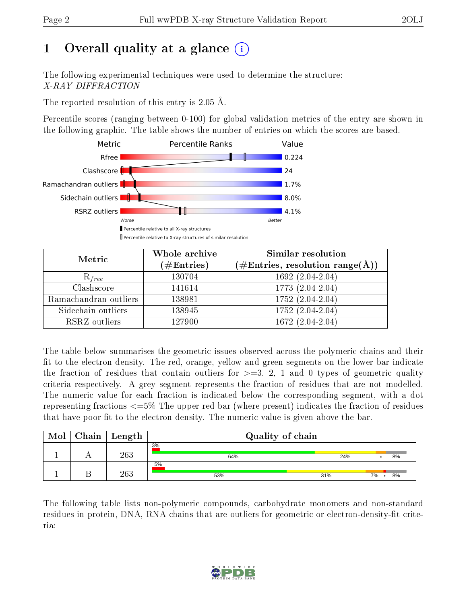# 1 [O](https://www.wwpdb.org/validation/2017/XrayValidationReportHelp#overall_quality)verall quality at a glance  $(i)$

The following experimental techniques were used to determine the structure: X-RAY DIFFRACTION

The reported resolution of this entry is 2.05 Å.

Percentile scores (ranging between 0-100) for global validation metrics of the entry are shown in the following graphic. The table shows the number of entries on which the scores are based.



| Metric                | Whole archive<br>$(\#\text{Entries})$ | Similar resolution<br>$(\#\text{Entries},\,\text{resolution}\,\,\text{range}(\textup{\AA}))$ |
|-----------------------|---------------------------------------|----------------------------------------------------------------------------------------------|
| $R_{free}$            | 130704                                | $1692(2.04-2.04)$                                                                            |
| Clashscore            | 141614                                | 1773 (2.04-2.04)                                                                             |
| Ramachandran outliers | 138981                                | $\overline{1752 (2.04-2.04)}$                                                                |
| Sidechain outliers    | 138945                                | 1752 (2.04-2.04)                                                                             |
| RSRZ outliers         | 127900                                | 1672 (2.04-2.04)                                                                             |

The table below summarises the geometric issues observed across the polymeric chains and their fit to the electron density. The red, orange, yellow and green segments on the lower bar indicate the fraction of residues that contain outliers for  $>=3, 2, 1$  and 0 types of geometric quality criteria respectively. A grey segment represents the fraction of residues that are not modelled. The numeric value for each fraction is indicated below the corresponding segment, with a dot representing fractions  $\epsilon=5\%$  The upper red bar (where present) indicates the fraction of residues that have poor fit to the electron density. The numeric value is given above the bar.

| Mol | $Chain$ $Length$ | Quality of chain |     |    |    |  |
|-----|------------------|------------------|-----|----|----|--|
|     | 263              | 3%<br>64%        | 24% |    | 8% |  |
|     | 263              | 5%<br>53%        | 31% | 7% | 8% |  |

The following table lists non-polymeric compounds, carbohydrate monomers and non-standard residues in protein, DNA, RNA chains that are outliers for geometric or electron-density-fit criteria:

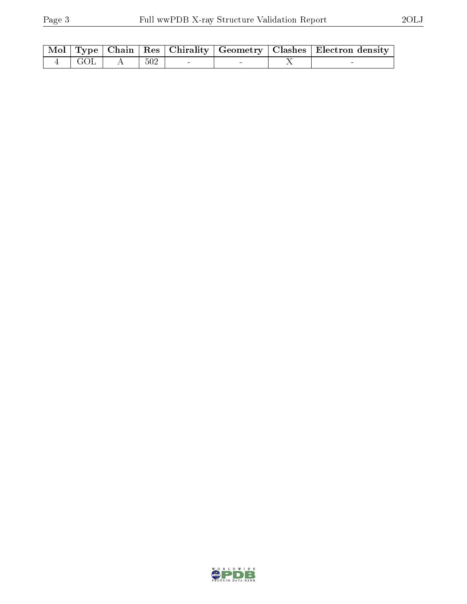|                   |       |                                   |  | Mol   Type   Chain   Res   Chirality   Geometry   Clashes   Electron density |
|-------------------|-------|-----------------------------------|--|------------------------------------------------------------------------------|
| $4 \mid GOL \mid$ | - 502 | <b>Contract Contract Contract</b> |  |                                                                              |

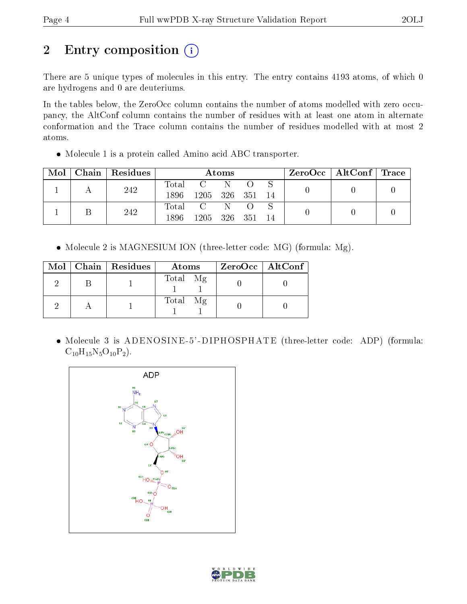# 2 Entry composition (i)

There are 5 unique types of molecules in this entry. The entry contains 4193 atoms, of which 0 are hydrogens and 0 are deuteriums.

In the tables below, the ZeroOcc column contains the number of atoms modelled with zero occupancy, the AltConf column contains the number of residues with at least one atom in alternate conformation and the Trace column contains the number of residues modelled with at most 2 atoms.

Molecule 1 is a protein called Amino acid ABC transporter.

| Mol | Chain   Residues | Atoms |      |       |       | $\text{ZeroOcc}$   AltConf   Trace |  |  |
|-----|------------------|-------|------|-------|-------|------------------------------------|--|--|
|     | 242              | Total |      |       |       |                                    |  |  |
|     |                  | 1896  | 1205 | - 326 | - 351 | 14                                 |  |  |
|     | 242              | Total |      |       |       |                                    |  |  |
|     |                  | 1896  | 1205 | - 326 | - 351 | 14                                 |  |  |

• Molecule 2 is MAGNESIUM ION (three-letter code: MG) (formula: Mg).

|  | Mol   Chain   Residues | Atoms    | $ZeroOcc$   AltConf |
|--|------------------------|----------|---------------------|
|  |                        | Total Mg |                     |
|  |                        | Total Mg |                     |

• Molecule 3 is ADENOSINE-5'-DIPHOSPHATE (three-letter code: ADP) (formula:  $C_{10}H_{15}N_5O_{10}P_2$ .



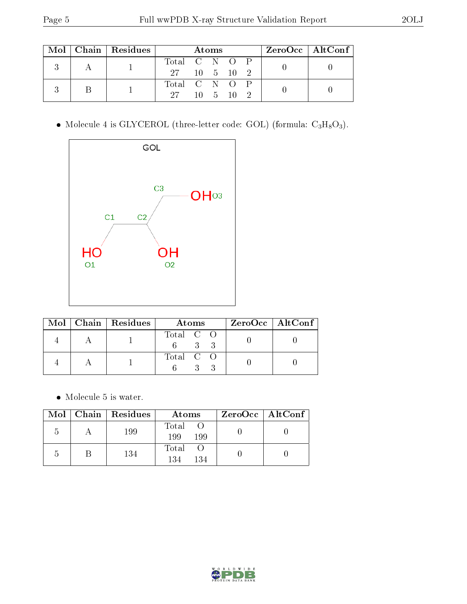|  | $Mol$   Chain   Residues | Atoms         |  |  |                       | $ZeroOcc \   \ AltConf \  $ |  |
|--|--------------------------|---------------|--|--|-----------------------|-----------------------------|--|
|  |                          | Total C N O P |  |  |                       |                             |  |
|  |                          | 27 10 5 10 2  |  |  |                       |                             |  |
|  |                          | Total C N O P |  |  |                       |                             |  |
|  |                          | $27 -$        |  |  | $10 \quad 5 \quad 10$ |                             |  |

• Molecule 4 is GLYCEROL (three-letter code: GOL) (formula:  $C_3H_8O_3$ ).



|  | $\text{Mol}$   Chain   Residues | Atoms     | $ZeroOcc \   \ AltConf$ |
|--|---------------------------------|-----------|-------------------------|
|  |                                 | Total C O |                         |
|  |                                 | Total C O |                         |

 $\bullet\,$  Molecule 5 is water.

| Mol            | Chain   Residues | Atoms               | $ZeroOcc$   AltConf |
|----------------|------------------|---------------------|---------------------|
| $\overline{b}$ | 199              | Total<br>199<br>199 |                     |
| $\mathcal{L}$  | 134              | Total<br>134<br>134 |                     |

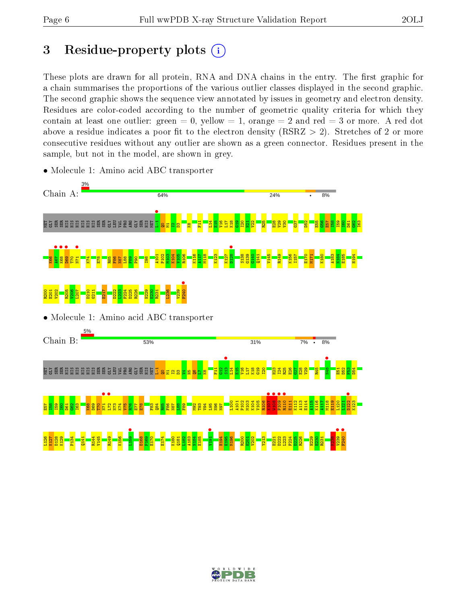# 3 Residue-property plots  $(i)$

These plots are drawn for all protein, RNA and DNA chains in the entry. The first graphic for a chain summarises the proportions of the various outlier classes displayed in the second graphic. The second graphic shows the sequence view annotated by issues in geometry and electron density. Residues are color-coded according to the number of geometric quality criteria for which they contain at least one outlier: green  $= 0$ , yellow  $= 1$ , orange  $= 2$  and red  $= 3$  or more. A red dot above a residue indicates a poor fit to the electron density (RSRZ  $> 2$ ). Stretches of 2 or more consecutive residues without any outlier are shown as a green connector. Residues present in the sample, but not in the model, are shown in grey.



• Molecule 1: Amino acid ABC transporter

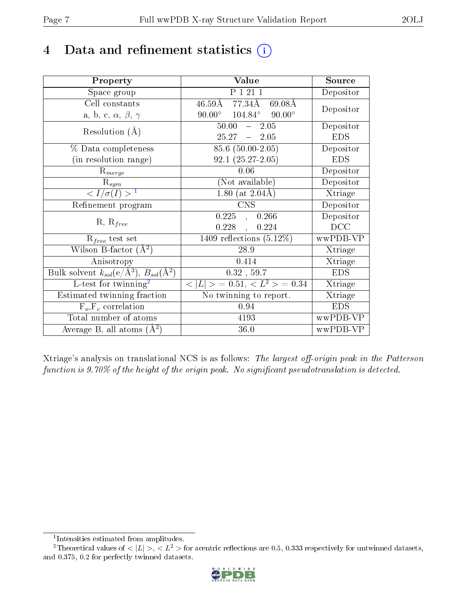# 4 Data and refinement statistics  $(i)$

| Property                                                         | Value                                                     | Source     |
|------------------------------------------------------------------|-----------------------------------------------------------|------------|
| Space group                                                      | P 1 21 1                                                  | Depositor  |
| Cell constants                                                   | $46.59\text{\AA}$ 77.34 $\text{\AA}$<br>$69.08\text{\AA}$ |            |
| a, b, c, $\alpha$ , $\beta$ , $\gamma$                           | $90.00^{\circ}$ $104.84^{\circ}$<br>$90.00^\circ$         | Depositor  |
| Resolution $(A)$                                                 | 50.00<br>2.05<br>$\frac{1}{2}$                            | Depositor  |
|                                                                  | 25.27<br>$-2.05$                                          | <b>EDS</b> |
| % Data completeness                                              | 85.6 (50.00-2.05)                                         | Depositor  |
| (in resolution range)                                            | $92.1(25.27-2.05)$                                        | <b>EDS</b> |
| $R_{merge}$                                                      | 0.06                                                      | Depositor  |
| $\mathrm{R}_{sym}$                                               | (Not available)                                           | Depositor  |
| $\langle I/\sigma(I) \rangle^{-1}$                               | 1.80 (at $2.04\text{\AA}$ )                               | Xtriage    |
| Refinement program                                               | <b>CNS</b>                                                | Depositor  |
|                                                                  | 0.225<br>0.266<br>$\frac{1}{2}$                           | Depositor  |
| $R, R_{free}$                                                    | 0.228<br>0.224<br>$\ddot{\phantom{a}}$                    | DCC        |
| $R_{free}$ test set                                              | $\overline{1409}$ reflections $(5.12\%)$                  | wwPDB-VP   |
| Wilson B-factor $(A^2)$                                          | 28.9                                                      | Xtriage    |
| Anisotropy                                                       | 0.414                                                     | Xtriage    |
| Bulk solvent $k_{sol}(\text{e}/\text{A}^3), B_{sol}(\text{A}^2)$ | $0.32$ , 59.7                                             | <b>EDS</b> |
| L-test for twinning <sup>2</sup>                                 | $< L >$ = 0.51, $< L2$ > = 0.34                           | Xtriage    |
| Estimated twinning fraction                                      | No twinning to report.                                    | Xtriage    |
| $F_o, F_c$ correlation                                           | 0.94                                                      | <b>EDS</b> |
| Total number of atoms                                            | 4193                                                      | wwPDB-VP   |
| Average B, all atoms $(A^2)$                                     | 36.0                                                      | wwPDB-VP   |

Xtriage's analysis on translational NCS is as follows: The largest off-origin peak in the Patterson function is  $9.70\%$  of the height of the origin peak. No significant pseudotranslation is detected.

<sup>&</sup>lt;sup>2</sup>Theoretical values of  $\langle |L| \rangle$ ,  $\langle L^2 \rangle$  for acentric reflections are 0.5, 0.333 respectively for untwinned datasets, and 0.375, 0.2 for perfectly twinned datasets.



<span id="page-6-1"></span><span id="page-6-0"></span><sup>1</sup> Intensities estimated from amplitudes.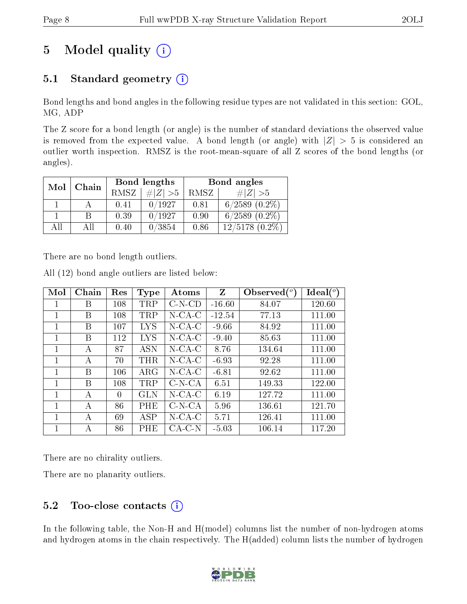)

# 5 Model quality  $(i)$

### 5.1 Standard geometry  $(i)$

Bond lengths and bond angles in the following residue types are not validated in this section: GOL, MG, ADP

The Z score for a bond length (or angle) is the number of standard deviations the observed value is removed from the expected value. A bond length (or angle) with  $|Z| > 5$  is considered an outlier worth inspection. RMSZ is the root-mean-square of all Z scores of the bond lengths (or angles).

| Mol | Chain |      | Bond lengths | Bond angles |                     |  |
|-----|-------|------|--------------|-------------|---------------------|--|
|     |       | RMSZ | # $ Z  > 5$  | RMSZ        | # $ Z  > 5$         |  |
|     |       | 0.41 | 0/1927       | 0.81        | $6/2589$ $(0.2\%)$  |  |
|     | R     | 0.39 | 0/1927       | 0.90        | $6/2589$ $(0.2\%)$  |  |
| All | All   | 0.40 | 0/3854       | 0.86        | $12/5178$ $(0.2\%)$ |  |

There are no bond length outliers.

| Mol          | Chain | Res | Type       | Atoms       | $Z_{\rm}$ | Observed $(°)$ | Ideal $($ <sup>o</sup> |
|--------------|-------|-----|------------|-------------|-----------|----------------|------------------------|
|              | Β     | 108 | TRP        | $C-N-CD$    | $-16.60$  | 84.07          | 120.60                 |
| $\mathbf{1}$ | B     | 108 | TRP        | $N$ -CA-C   | $-12.54$  | 77.13          | 111.00                 |
| 1            | B     | 107 | <b>LYS</b> | $N$ -CA-C   | $-9.66$   | 84.92          | 111.00                 |
| 1            | B     | 112 | LYS        | $N$ -CA-C   | $-9.40$   | 85.63          | 111.00                 |
| 1            | А     | 87  | <b>ASN</b> | $N$ -CA-C   | 8.76      | 134.64         | 111.00                 |
| 1            | А     | 70  | <b>THR</b> | $N$ -CA-C   | $-6.93$   | 92.28          | 111.00                 |
| 1            | B     | 106 | $\rm{ARG}$ | $N$ -CA-C   | $-6.81$   | 92.62          | 111.00                 |
| 1            | B     | 108 | <b>TRP</b> | $C-N-CA$    | 6.51      | 149.33         | 122.00                 |
| 1            | А     | 0   | GLN        | $N$ -CA-C   | 6.19      | 127.72         | 111.00                 |
| 1            | А     | 86  | <b>PHE</b> | $C- N- C A$ | 5.96      | 136.61         | 121.70                 |
| 1            | A     | 69  | ASP        | $N$ -CA-C   | 5.71      | 126.41         | 111.00                 |
|              | А     | 86  | PHE        | CA-C-N      | $-5.03$   | 106.14         | 117.20                 |

All (12) bond angle outliers are listed below:

There are no chirality outliers.

There are no planarity outliers.

### 5.2 Too-close contacts  $(i)$

In the following table, the Non-H and H(model) columns list the number of non-hydrogen atoms and hydrogen atoms in the chain respectively. The H(added) column lists the number of hydrogen

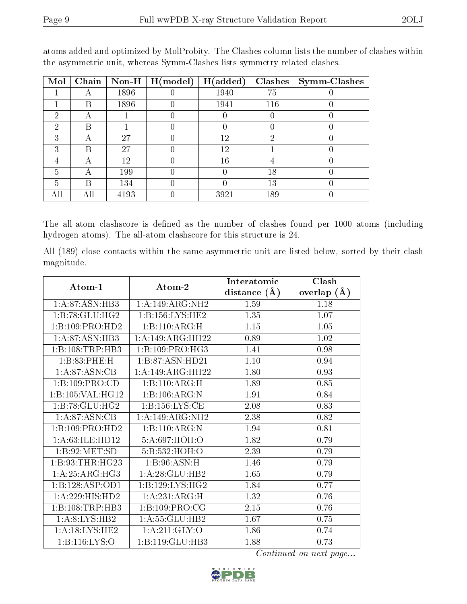| Mol | Chain | $Non-H$ | H (model) | H(added) | Clashes | <b>Symm-Clashes</b> |
|-----|-------|---------|-----------|----------|---------|---------------------|
|     |       | 1896    |           | 1940     | 75      |                     |
|     | В     | 1896    |           | 1941     | 116     |                     |
| 2   | А     |         |           |          | U       |                     |
| 2   | В     |         |           |          |         |                     |
| 3   |       | 27      |           | 12       | 2       |                     |
| 3   | В     | 27      |           | 12       |         |                     |
|     |       | 12      |           | 16       |         |                     |
| 5   |       | 199     |           |          | 18      |                     |
| 5   | В     | 134     |           |          | 13      |                     |
| AП  | All   | 4193    |           | 3921     | 189     |                     |

atoms added and optimized by MolProbity. The Clashes column lists the number of clashes within the asymmetric unit, whereas Symm-Clashes lists symmetry related clashes.

The all-atom clashscore is defined as the number of clashes found per 1000 atoms (including hydrogen atoms). The all-atom clashscore for this structure is 24.

All (189) close contacts within the same asymmetric unit are listed below, sorted by their clash magnitude.

|                    |                              | Interatomic    | Clash         |
|--------------------|------------------------------|----------------|---------------|
| Atom-1             | Atom-2                       | distance $(A)$ | overlap $(A)$ |
| 1:A:87:ASN:HB3     | 1:A:149:ARG:NH2              | 1.59           | 1.18          |
| 1:B:78:GLU:HG2     | 1:Bi:156:LYS:HE2             | 1.35           | 1.07          |
| 1:B:109:PRO:HD2    | 1:B:110:ARG:H                | 1.15           | 1.05          |
| 1:A:87:ASN:HB3     | 1:A:149:ARG:HH22             | 0.89           | 1.02          |
| 1:B:108:TRP:HB3    | 1: B: 109: PRO:HG3           | 1.41           | 0.98          |
| 1:B:83:PHE:H       | 1:B:87:ASN:HD21              | 1.10           | 0.94          |
| 1: A:87: ASN:CB    | 1:A:149:ARG:HH22             | 1.80           | 0.93          |
| 1:B:109:PRO:CD     | 1:B:110:ARG:H                | 1.89           | 0.85          |
| 1:B:105:VAL:HG12   | 1:B:106:ARG:N                | 1.91           | 0.84          |
| 1:B:78:GLU:HG2     | 1: B: 156: LYS: CE           | 2.08           | 0.83          |
| 1:A:87:ASN:CB      | 1:A:149:ARG:NH2              | 2.38           | 0.82          |
| 1:B:109:PRO:HD2    | 1:B:110:ARG:N                | 1.94           | 0.81          |
| 1: A:63: ILE: HD12 | 5:A:697:HOH:O                | 1.82           | 0.79          |
| 1:B:92:MET:SD      | 5:B:532:HOH:O                | 2.39           | 0.79          |
| 1: B:93:THR:HG23   | 1: B:96: ASN:H               | 1.46           | 0.79          |
| 1:A:25:ARG:HG3     | 1: A:28: GLU:HB2             | 1.65           | 0.79          |
| 1:B:128:ASP:OD1    | $1:B:129:LYS:H\overline{G2}$ | 1.84           | 0.77          |
| 1:A:229:HIS:HD2    | 1:A:231:ARG:H                | 1.32           | 0.76          |
| 1:B:108:TRP:HB3    | 1:B:109:PRO:CG               | 2.15           | 0.76          |
| 1: A:8: LYS: HB2   | 1:A:55:GLU:HB2               | 1.67           | 0.75          |
| 1:A:18:LYS:HE2     | 1:A:211:GLY:O                | 1.86           | 0.74          |
| 1:B:116:LYS:O      | 1:B:119:GLU:HB3              | 1.88           | 0.73          |

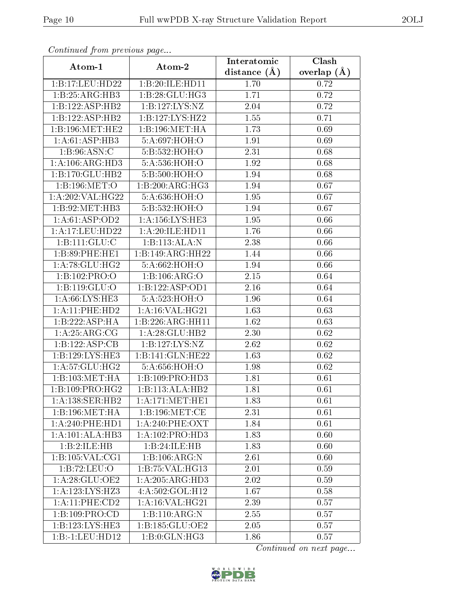| Communica from precious page |                             | Interatomic    | Clash         |
|------------------------------|-----------------------------|----------------|---------------|
| Atom-1                       | Atom-2                      | distance $(A)$ | overlap $(A)$ |
| 1:B:17:LEU:HD22              | 1:B:20:ILE:HD11             | 1.70           | 0.72          |
| 1:B:25:ARG:HB3               | 1:B:28:GLU:HG3              | 1.71           | 0.72          |
| 1:B:122:ASP:HB2              | 1:B:127:LYS:NZ              | 2.04           | 0.72          |
| 1:B:122:ASP:HB2              | 1:B:127:LYS:HZ2             | 1.55           | 0.71          |
| 1:B:196:MET:HE2              | 1:B:196:MET:HA              | 1.73           | 0.69          |
| 1: A:61:ASP:HB3              | 5:A:697:HOH:O               | 1.91           | 0.69          |
| 1: B:96: ASN:C               | 5: B: 532: HOH:O            | 2.31           | 0.68          |
| 1: A: 106: ARG: HD3          | 5:A:536:HOH:O               | 1.92           | 0.68          |
| 1:B:170:GLU:HB2              | 5:B:500:HOH:O               | 1.94           | 0.68          |
| 1:B:196:MET:O                | 1:B:200:ARG:HG3             | 1.94           | 0.67          |
| 1:A:202:VAL:HG22             | 5:A:636:HOH:O               | 1.95           | 0.67          |
| 1:B:92:MET:HB3               | 5:B:532:HOH:O               | 1.94           | 0.67          |
| 1:A:61:ASP:OD2               | 1:A:156:LYS:HE3             | 1.95           | 0.66          |
| 1:A:17:LEU:HD22              | 1:A:20:ILE:HD11             | 1.76           | 0.66          |
| 1: B: 111: GLU: C            | 1:B:113:ALA:N               | 2.38           | 0.66          |
| 1:B:89:PHE:HE1               | 1:B:149:ARG:HH22            | 1.44           | 0.66          |
| 1: A:78: GLU:HG2             | 5:A:662:HOH:O               | 1.94           | 0.66          |
| $1:B:102:PRO:\overline{O}$   | 1:B:106:ARG:O               | 2.15           | 0.64          |
| $1:B:119:GL\overline{U:O}$   | 1:B:122:ASP:OD1             | 2.16           | 0.64          |
| 1: A:66: LYS: HE3            | 5:A:523:HOH:O               | 1.96           | 0.64          |
| 1:A:11:PHE:HD2               | 1: A:16: VAL:HG21           | 1.63           | 0.63          |
| 1:B:222:ASP:HA               | 1:B:226:ARG:HH11            | 1.62           | 0.63          |
| 1: A:25: ARG:CG              | 1: A:28: GLU:HB2            | 2.30           | 0.62          |
| 1:B:122:ASP:CB               | 1:B:127:LYS:NZ              | 2.62           | 0.62          |
| 1:B:129:LYS:HE3              | 1:B:141:GLN:HE22            | 1.63           | 0.62          |
| 1: A:57: GLU:HG2             | 5:A:656:HOH:O               | 1.98           | 0.62          |
| 1:B:103:MET:HA               | 1:B:109:PRO:HD3             | 1.81           | 0.61          |
| 1:B:109:PRO:HG2              | 1:B:113:ALA:HB2             | 1.81           | 0.61          |
| 1: A: 138: SER: HB2          | 1: A:171: MET:HE1           | 1.83           | 0.61          |
| 1:B:196:MET:HA               | 1:B:196:MET:CE              | 2.31           | 0.61          |
| 1: A:240: PHE:HD1            | $1: A:240:$ PHE:OXT         | 1.84           | 0.61          |
| 1:A:101:ALA:HB3              | 1:A:102:PRO:HD3             | 1.83           | 0.60          |
| 1:B:2:ILE:HB                 | 1:B:24:ILE:HB               | 1.83           | 0.60          |
| 1:B:105:VAL:CG1              | 1:B:106:ARG:N               | 2.61           | 0.60          |
| 1:B:72:LEU:O                 | 1:B:75:VAL:H <sub>G13</sub> | 2.01           | 0.59          |
| 1: A:28: GLU:OE2             | 1:A:205:ARG:HD3             | 2.02           | 0.59          |
| 1:A:123:LYS:HZ3              | 4:A:502:GOL:H12             | 1.67           | 0.58          |
| 1:A:11:PHE:CD2               | 1:A:16:VAL:HG21             | 2.39           | 0.57          |
| 1:B:109:PRO:CD               | 1:B:110:ARG:N               | 2.55           | 0.57          |
| 1:B:123:LYS:HE3              | 1: B: 185: GLU: OE2         | 2.05           | 0.57          |
| $1:B: -1:LEU: HD12$          | 1:B:0:GLN:HG3               | 1.86           | 0.57          |

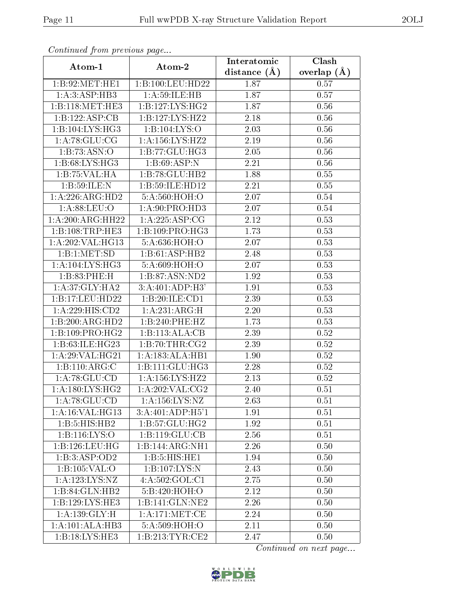| Continuea from previous page |                     | Interatomic    | Clash         |
|------------------------------|---------------------|----------------|---------------|
| Atom-1                       | Atom-2              | distance $(A)$ | overlap $(A)$ |
| 1:B:92:MET:HE1               | 1:B:100:LEU:HD22    | 1.87           | 0.57          |
| 1:A:3:ASP:HB3                | 1: A:59: ILE: HB    | 1.87           | 0.57          |
| 1:B:118:MET:HE3              | 1:B:127:LYS:HG2     | 1.87           | 0.56          |
| 1:B:122:ASP:CB               | 1:B:127:LYS:HZ2     | 2.18           | 0.56          |
| 1:B:104:LYS:HG3              | 1:B:104:LYS:O       | 2.03           | 0.56          |
| 1: A:78: GLU:CG              | 1:A:156:LYS:HZ2     | 2.19           | 0.56          |
| 1:B:73:ASN:O                 | 1:B:77:GLU:HG3      | 2.05           | 0.56          |
| 1:B:68:LYS:HG3               | 1:B:69:ASP:N        | 2.21           | 0.56          |
| 1:B:75:VAL:HA                | 1:B:78:GLU:HB2      | 1.88           | 0.55          |
| 1:B:59:ILE:N                 | 1:B:59:ILE:HD12     | 2.21           | 0.55          |
| 1: A:226: ARG:HD2            | 5:A:560:HOH:O       | 2.07           | 0.54          |
| 1: A:88: LEU:O               | 1: A:90: PRO:HD3    | 2.07           | 0.54          |
| 1:A:200:ARG:HH22             | 1:A:225:ASP:CG      | 2.12           | 0.53          |
| 1:B:108:TRP:HE3              | 1:B:109:PRO:HG3     | 1.73           | 0.53          |
| 1:A:202:VAL:HG13             | 5:A:636:HOH:O       | 2.07           | 0.53          |
| 1:B:1:MET:SD                 | 1:B:61:ASP:HB2      | 2.48           | 0.53          |
| $1:A:\overline{104:LYS:HG3}$ | 5:A:609:HOH:O       | 2.07           | 0.53          |
| 1:B:83:PHE:H                 | 1:B:87:ASN:ND2      | 1.92           | 0.53          |
| 1: A:37: GLY: HA2            | 3:A:401:ADP:H3'     | 1.91           | 0.53          |
| 1:B:17:LEU:HD22              | 1:B:20:ILE:CD1      | 2.39           | 0.53          |
| 1:A:229:HIS:CD2              | 1:A:231:ARG:H       | 2.20           | 0.53          |
| 1:B:200:ARG:HD2              | 1:B:240:PHE:HZ      | 1.73           | 0.53          |
| 1:B:109:PRO:HG2              | 1:B:113:ALA:CB      | 2.39           | 0.52          |
| 1:B:63:ILE:HG23              | 1:B:70:THR:CG2      | 2.39           | 0.52          |
| 1: A:29: VAL:HG21            | 1:A:183:ALA:HB1     | 1.90           | 0.52          |
| 1:B:110:ARG:C                | 1:B:111:GLU:HG3     | 2.28           | 0.52          |
| 1: A:78: GLU:CD              | 1:A:156:LYS:HZ2     | 2.13           | 0.52          |
| $1:$ A:180:LYS:HG2           | 1:A:202:VAL:CG2     | 2.40           | 0.51          |
| 1:A:78:GLU:CD                | 1: A: 156: LYS: NZ  | 2.63           | 0.51          |
| 1:A:16:VAL:HG13              | 3:A:401:ADP:H5'1    | 1.91           | 0.51          |
| 1:B:5:HIS:HB2                | 1: B:57: GLU: HG2   | 1.92           | 0.51          |
| 1: B: 116: LYS: O            | 1:B:119:GLU:CB      | 2.56           | 0.51          |
| 1:B:126:LEU:HG               | 1:B:144:ARG:NH1     | 2.26           | 0.50          |
| 1:B:3:ASP:OD2                | 1:B:5:HIS:HE1       | 1.94           | 0.50          |
| 1:B:105:VAL:O                | 1:B:107:LYS:N       | 2.43           | 0.50          |
| 1:A:123:LYS:NZ               | 4:A:502:GOL:CI      | 2.75           | 0.50          |
| 1:B:84:GLN:HB2               | 5:B:420:HOH:O       | 2.12           | 0.50          |
| 1:B:129:LYS:HE3              | 1:B:141:GLN:NE2     | 2.26           | 0.50          |
| 1: A: 139: GLY: H            | 1: A:171: MET:CE    | 2.24           | 0.50          |
| 1:A:101:ALA:HB3              | 5:A:509:HOH:O       | 2.11           | 0.50          |
| 1:B:18:LYS:HE3               | 1: B: 213: TYR: CE2 | 2.47           | 0.50          |

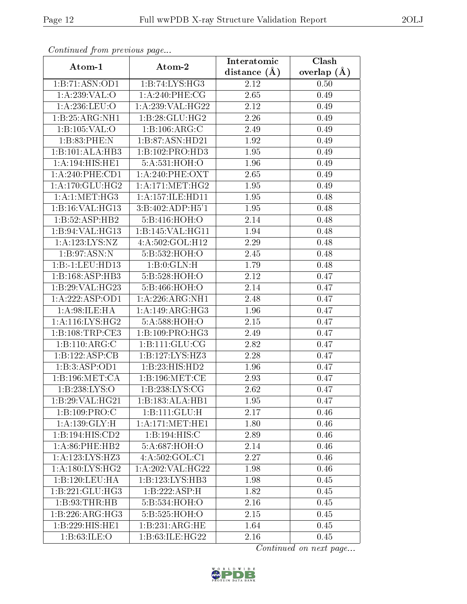| Continued from previous page |                              | Interatomic    | Clash           |
|------------------------------|------------------------------|----------------|-----------------|
| Atom-1                       | Atom-2                       | distance $(A)$ | overlap $(\AA)$ |
| 1:B:71:ASN:OD1               | 1:B:74:LYS:HG3               | 2.12           | 0.50            |
| 1:A:239:VAL:O                | 1: A:240:PHE:CG              | 2.65           | 0.49            |
| 1: A:236:LEU:O               | 1:A:239:VAL:HG22             | 2.12           | 0.49            |
| 1:B:25:ARG:NH1               | 1:B:28:GLU:HG2               | 2.26           | 0.49            |
| 1:B:105:VAL:O                | 1:B:106:ARG:C                | 2.49           | 0.49            |
| 1:B:83:PHE:N                 | 1:B:87:ASN:HD21              | 1.92           | 0.49            |
| 1:B:101:ALA:HB3              | $1:B:102:P\overline{RO:HD3}$ | 1.95           | 0.49            |
| 1:A:194:HIS:HE1              | 5:A:531:HOH:O                | 1.96           | 0.49            |
| 1:A:240:PHE:CD1              | $1: A:240:$ PHE:OXT          | 2.65           | 0.49            |
| 1: A:170: GLU:HG2            | 1:A:171:MET:HG2              | 1.95           | 0.49            |
| 1: A:1: MET:HG3              | 1:A:157:ILE:HD11             | 1.95           | 0.48            |
| 1:B:16:VAL:HG13              | 3:B:402:ADP:H5'1             | 1.95           | 0.48            |
| 1:B:52:ASP:HB2               | 5:B:416:HOH:O                | 2.14           | 0.48            |
| 1:B:94:VAL:HG13              | 1:B:145:VAL:HG11             | 1.94           | 0.48            |
| 1:A:123:LYS:NZ               | 4:A:502:GOL:H12              | 2.29           | 0.48            |
| 1:B:97:ASN:N                 | 5:B:532:HOH:O                | 2.45           | 0.48            |
| $1:B: -1:LEU: HD13$          | 1:B:0:GLN:H                  | 1.79           | 0.48            |
| 1:B:168:ASP:HB3              | 5:B:528:HOH:O                | 2.12           | 0.47            |
| 1:B:29:VAL:HG23              | 5:B:466:HOH:O                | 2.14           | 0.47            |
| 1:A:222:ASP:OD1              | 1: A:226: ARG:NH1            | 2.48           | 0.47            |
| 1: A:98: ILE: HA             | 1: A:149: ARG:HG3            | 1.96           | 0.47            |
| 1: A:116: LYS: HG2           | 5:A:588:HOH:O                | $2.15\,$       | 0.47            |
| 1:B:108:TRP:CE3              | 1: B: 109: PRO:HG3           | 2.49           | 0.47            |
| 1:B:110:ARG:C                | 1:B:111:GLU:CG               | 2.82           | 0.47            |
| 1:B:122:ASP:CB               | 1:B:127:LYS:HZ3              | 2.28           | 0.47            |
| 1:B:3:ASP:OD1                | 1:B:23:HIS:HD2               | 1.96           | 0.47            |
| 1: B: 196: MET: CA           | 1: B: 196: MET:CE            | 2.93           | 0.47            |
| 1:B:238:LYS:O                | 1:B:238:LYS:CG               | 2.62           | 0.47            |
| 1:B:29:VAL:HG21              | 1:B:183:ALA:HB1              | 1.95           | 0.47            |
| 1:B:109:PRO:C                | 1:B:111:GLU:H                | 2.17           | $0.46\,$        |
| 1: A: 139: GLY: H            | 1: A:171: MET:HE1            | 1.80           | 0.46            |
| 1:B:194:HIS:CD2              | 1:B:194:HIS:C                | 2.89           | 0.46            |
| $1: A:86:$ PHE:HB2           | 5:A:687:HOH:O                | 2.14           | 0.46            |
| 1:A:123:LYS:HZ3              | 4:A:502:GOL:C1               | 2.27           | 0.46            |
| 1: A: 180: LYS: HG2          | 1:A:202:VAL:HG22             | 1.98           | 0.46            |
| 1:B:120:LEU:HA               | 1:B:123:LYS:HB3              | 1.98           | 0.45            |
| 1:B:221:GLU:HG3              | 1:B:222:ASP:H                | 1.82           | 0.45            |
| 1: B:93:THR:HB               | 5:B:534:HOH:O                | 2.16           | 0.45            |
| 1:B:226:ARG:HG3              | 5:B:525:HOH:O                | 2.15           | 0.45            |
| 1:B:229:HIS:HE1              | 1:B:231:ARG:HE               | 1.64           | 0.45            |
| 1:B:63:ILE:O                 | 1:B:63:ILE:HG22              | 2.16           | 0.45            |

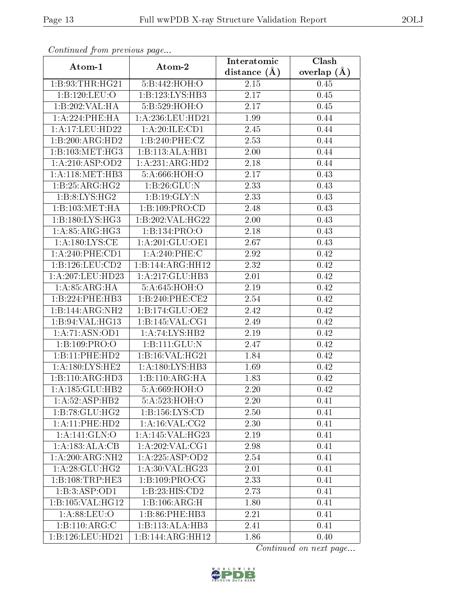| Communica from precious page |                            | Interatomic    | Clash           |
|------------------------------|----------------------------|----------------|-----------------|
| Atom-1                       | Atom-2                     | distance $(A)$ | overlap $(\AA)$ |
| 1:B:93:THR:HG21              | 5:B:442:HOH:O              | 2.15           | 0.45            |
| 1:B:120:LEU:O                | 1: B: 123: LYS: HB3        | 2.17           | 0.45            |
| 1:B:202:VAL:HA               | 5:B:529:HOH:O              | 2.17           | 0.45            |
| 1: A:224:PHE:HA              | 1: A:236:LEU:HD21          | 1.99           | 0.44            |
| 1:A:17:LEU:HD22              | 1:A:20:ILE:CD1             | 2.45           | 0.44            |
| 1:B:200:ARG:HD2              | 1:B:240:PHE:CZ             | 2.53           | 0.44            |
| 1:B:103:MET:HG3              | 1:B:113:ALA:HB1            | 2.00           | 0.44            |
| 1:A:210:ASP:OD2              | 1:A:231:ARG:HD2            | 2.18           | 0.44            |
| 1: A:118:MET:HB3             | 5:A:666:HOH:O              | 2.17           | 0.43            |
| 1:B:25:ARG:HG2               | 1:B:26:GLU:N               | 2.33           | 0.43            |
| 1: B: 8: LYS: HG2            | 1:B:19:GLY:N               | 2.33           | 0.43            |
| 1:B:103:MET:HA               | 1:B:109:PRO:CD             | 2.48           | 0.43            |
| 1: B: 180: LYS: HG3          | 1:B:202:VAL:HG22           | 2.00           | 0.43            |
| 1: A:85: ARG: HG3            | 1:B:134:PRO:O              | 2.18           | 0.43            |
| 1: A: 180: LYS: CE           | 1:A:201:GLU:OE1            | 2.67           | 0.43            |
| 1:A:240:PHE:CD1              | 1:A:240:PHE:C              | 2.92           | 0.42            |
| 1: B: 126: LEU: CD2          | 1:B:144:ARG:HH12           | 2.32           | 0.42            |
| 1:A:207:LEU:HD23             | 1:A:217:GLU:HB3            | 2.01           | 0.42            |
| 1: A:85: ARG: HA             | 5:A:645:HOH:O              | 2.19           | 0.42            |
| 1:B:224:PHE:HB3              | 1:B:240:PHE:CE2            | 2.54           | 0.42            |
| 1:B:144:ARG:NH2              | 1:B:174:GLU:OE2            | 2.42           | 0.42            |
| 1:B:94:VAL:HG13              | 1: B:145: VAL: CG1         | 2.49           | 0.42            |
| 1:A:71:ASN:OD1               | 1:A:74:LYS:HB2             | 2.19           | 0.42            |
| 1:B:109:PRO:O                | $1:B:111:\overline{GLU:N}$ | 2.47           | 0.42            |
| 1:B:11:PHE:HD2               | 1:B:16:VAL:H G21           | 1.84           | 0.42            |
| 1: A: 180: LYS: HE2          | 1:A:180:LYS:HB3            | 1.69           | 0.42            |
| 1:B:110:ARG:HD3              | 1: B: 110: ARG: HA         | 1.83           | 0.42            |
| 1:A:185:GLU:HB2              | 5: A:669:HOH:O             | 2.20           | 0.42            |
| 1:A:52:ASP:HB2               | 5:A:523:HOH:O              | 2.20           | 0.41            |
| 1:B:78:GLU:HG2               | 1:B:156:LYS:CD             | 2.50           | 0.41            |
| 1:A:11:PHE:HD2               | 1: A:16: VAL:CG2           | 2.30           | 0.41            |
| 1: A:141: GLN:O              | 1:A:145:VAL:HG23           | 2.19           | 0.41            |
| 1:A:183:ALA:CB               | 1: A:202:VAL:CG1           | 2.98           | 0.41            |
| 1:A:200:ARG:NH2              | 1:A:225:ASP:OD2            | 2.54           | 0.41            |
| 1: A:28: GLU:HG2             | 1: A:30: VAL:HG23          | 2.01           | 0.41            |
| 1:B:108:TRP:HE3              | 1:B:109:PRO:CG             | 2.33           | 0.41            |
| 1:B:3:ASP:OD1                | 1:B:23:HIS:CD2             | 2.73           | 0.41            |
| 1:B:105:VAL:HG12             | 1:B:106:ARG:H              | 1.80           | 0.41            |
| 1: A:88: LEU:O               | 1:B:86:PHE:HB3             | 2.21           | 0.41            |
| 1:B:110:ARG:C                | 1:B:113:ALA:HB3            | 2.41           | 0.41            |
| 1:B:126:LEU:HD21             | 1:B:144:ARG:HH12           | 1.86           | 0.40            |

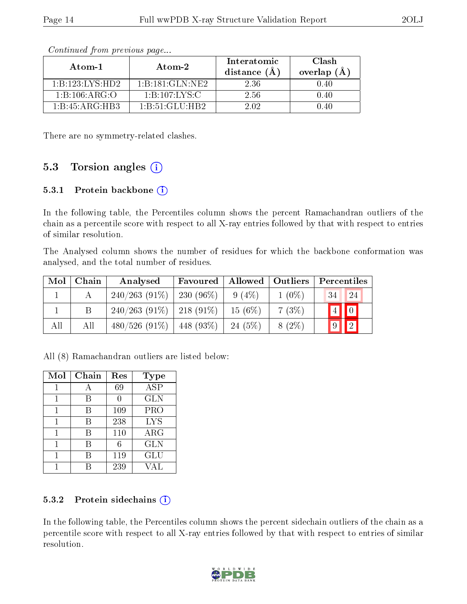| Atom-1          | Atom-2             | Interatomic<br>distance $(A)$ | Clash<br>overlap $(A)$ |
|-----------------|--------------------|-------------------------------|------------------------|
| 1:B:123:LYS:HD2 | 1:B:181:GLN:NE2    | 2.36                          | 0.40                   |
| 1:B:106:ARG:O   | 1:B:107:LYS:C      | 2.56                          | 0.40                   |
| 1:B:45:ARG:HB3  | 1: B: 51: GLU: HB2 | 2.02.                         | N 40                   |

There are no symmetry-related clashes.

#### 5.3 Torsion angles  $(i)$

#### 5.3.1 Protein backbone (i)

In the following table, the Percentiles column shows the percent Ramachandran outliers of the chain as a percentile score with respect to all X-ray entries followed by that with respect to entries of similar resolution.

The Analysed column shows the number of residues for which the backbone conformation was analysed, and the total number of residues.

| Mol | Chain | Analysed                      | Favoured     | Allowed   | <b>Outliers</b> | Percentiles                |
|-----|-------|-------------------------------|--------------|-----------|-----------------|----------------------------|
|     |       | $240/263(91\%)$               | $230(96\%)$  | $9(4\%)$  | $1(0\%)$        | 34<br>24                   |
|     |       | $240/263$ (91\%)   218 (91\%) |              | $15(6\%)$ | $7(3\%)$        | $\boxed{0}$<br>'4          |
| All | Аll   | $480/526(91\%)$               | 448 $(93\%)$ | $24(5\%)$ | $8(2\%)$        | $\boxed{2}$<br>$ 9\rangle$ |

All (8) Ramachandran outliers are listed below:

| Mol | Chain | Res | <b>Type</b>          |
|-----|-------|-----|----------------------|
|     |       | 69  | $\overline{\rm ASP}$ |
|     |       |     | <b>GLN</b>           |
| 1   | В     | 109 | PRO                  |
|     | R     | 238 | <b>LYS</b>           |
|     | В     | 110 | $\rm{ARG}$           |
|     | R     | б   | <b>GLN</b>           |
|     | К     | 119 | GLU                  |
|     |       | 239 |                      |

#### 5.3.2 Protein sidechains  $(i)$

In the following table, the Percentiles column shows the percent sidechain outliers of the chain as a percentile score with respect to all X-ray entries followed by that with respect to entries of similar resolution.

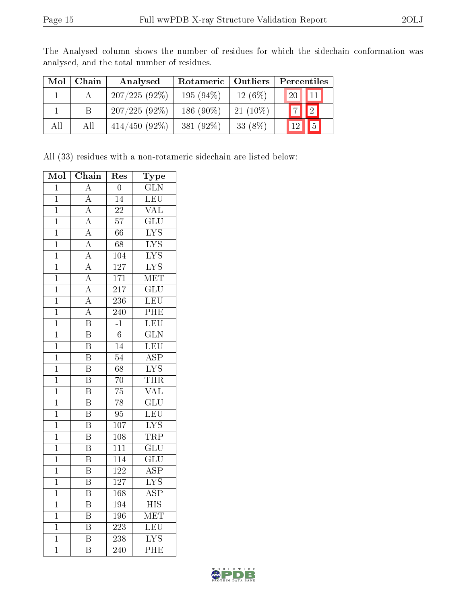| Mol | Chain | Analysed        | Rotameric    | $\mid$ Outliers | Percentiles |                  |
|-----|-------|-----------------|--------------|-----------------|-------------|------------------|
|     |       | $207/225(92\%)$ | $195(94\%)$  | $12(6\%)$       | <b>20</b>   | .11 <sup>r</sup> |
|     |       | $207/225(92\%)$ | 186 $(90\%)$ | $21(10\%)$      |             | $\sqrt{2}$       |
| All | Аll   | $414/450(92\%)$ | 381 $(92\%)$ | 33 $(8%)$       |             |                  |

The Analysed column shows the number of residues for which the sidechain conformation was analysed, and the total number of residues.

All (33) residues with a non-rotameric sidechain are listed below:

| Mol            | $\overline{\text{Chain}}$ | Res              | Type                      |
|----------------|---------------------------|------------------|---------------------------|
| $\mathbf 1$    | $\mathbf{A}$              | $\overline{0}$   | $\overline{\text{GLN}}$   |
| $\mathbf 1$    | $\overline{\rm A}$        | $\overline{14}$  | <b>LEU</b>                |
| $\mathbf 1$    | $\overline{\rm A}$        | $\overline{22}$  | $\overline{\text{VAL}}$   |
| $\mathbf{1}$   | $\overline{A}$            | $\overline{57}$  | $\overline{{\rm GLU}}$    |
| $\overline{1}$ | $\overline{\rm A}$        | 66               | $\overline{\text{LYS}}$   |
| $\overline{1}$ | $\overline{\rm A}$        | $\overline{68}$  | $\overline{\text{LYS}}$   |
| $\overline{1}$ | $\overline{\rm A}$        | $\overline{104}$ | $\overline{\text{LYS}}$   |
| $\mathbf 1$    | $\overline{A}$            | $\overline{127}$ | $\overline{\text{LYS}}$   |
| $\overline{1}$ | $\overline{A}$            | $\overline{171}$ | MET                       |
| $\mathbf{1}$   | $\overline{\rm A}$        | 217              | $\overline{{\rm GLU}}$    |
| $\mathbf 1$    | $\overline{\rm A}$        | $\overline{236}$ | LEU                       |
| $\overline{1}$ | $\overline{A}$            | $\overline{240}$ | PHE                       |
| $\mathbf{1}$   | $\overline{\text{B}}$     | $\overline{-1}$  | LEU                       |
| $\overline{1}$ | $\overline{\mathrm{B}}$   | $\overline{6}$   | $\overline{\text{GLN}}$   |
| $\mathbf{1}$   | $\overline{\text{B}}$     | 14               | $\overline{\text{LEU}}$   |
| $\overline{1}$ | $\overline{\mathrm{B}}$   | $\overline{54}$  | $\overline{\text{ASP}}$   |
| $\overline{1}$ | $\overline{\mathrm{B}}$   | $\overline{68}$  | $\overline{\text{LYS}}$   |
| $\mathbf 1$    | $\overline{\mathrm{B}}$   | $\overline{70}$  | THR                       |
| $\overline{1}$ | $\overline{\mathrm{B}}$   | $\overline{75}$  | $\overline{\text{VAL}}$   |
| $\mathbf 1$    | $\overline{\mathrm{B}}$   | 78               | $\overline{\text{GLU}}$   |
| $\mathbf 1$    | $\overline{\mathrm{B}}$   | $\overline{95}$  | LEU                       |
| $\mathbf 1$    | $\overline{\mathrm{B}}$   | 107              | $\overline{\text{LYS}}$   |
| $\overline{1}$ | $\overline{\mathrm{B}}$   | 108              | <b>TRP</b>                |
| $\overline{1}$ | $\overline{\mathrm{B}}$   | $\overline{111}$ | $\overline{\text{GLU}}$   |
| $\mathbf{1}$   | $\overline{\mathrm{B}}$   | 114              | $\overline{{\rm GLU}}$    |
| $\mathbf 1$    | $\overline{\mathrm{B}}$   | $\overline{122}$ | $\overline{\text{ASP}}$   |
| $\mathbf 1$    | $\overline{\mathrm{B}}$   | 127              | $\overline{\text{LYS}}$   |
| $\overline{1}$ | $\overline{\mathrm{B}}$   | 168              | $\overline{\text{ASP}}$   |
| $\overline{1}$ | $\overline{\mathrm{B}}$   | 194              | $\overline{\mathrm{HIS}}$ |
| $\mathbf 1$    | $\overline{\mathrm{B}}$   | 196              | MET                       |
| $\mathbf 1$    | $\overline{\mathrm{B}}$   | $\overline{223}$ | LEU                       |
| $\mathbf 1$    | $\overline{\mathrm{B}}$   | 238              | $\overline{\text{LYS}}$   |
| $\overline{1}$ | $\overline{\mathrm{B}}$   | $\overline{240}$ | $\overline{\rm{PHE}}$     |

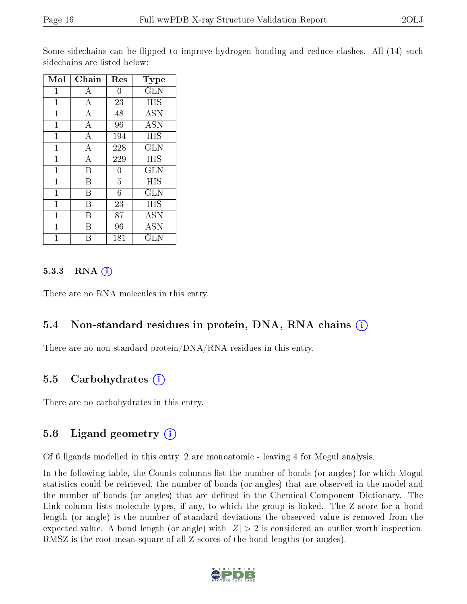Some sidechains can be flipped to improve hydrogen bonding and reduce clashes. All (14) such sidechains are listed below:

| Mol            | Chain          | Res            | Type         |
|----------------|----------------|----------------|--------------|
| $\mathbf{1}$   | А              | $\overline{0}$ | $_{\rm GLN}$ |
| $\mathbf{1}$   | $\overline{A}$ | 23             | <b>HIS</b>   |
| $\mathbf{1}$   | А              | 48             | <b>ASN</b>   |
| $\mathbf{1}$   | $\overline{A}$ | 96             | <b>ASN</b>   |
| $\mathbf{1}$   | А              | 194            | HIS          |
| $\overline{1}$ | $\overline{A}$ | 228            | <b>GLN</b>   |
| $\mathbf{1}$   | А              | 229            | HIS          |
| $\mathbf{1}$   | B              | $\overline{0}$ | <b>GLN</b>   |
| $\mathbf{1}$   | B              | $\overline{5}$ | HIS          |
| $\mathbf{1}$   | B              | 6              | <b>GLN</b>   |
| $\overline{1}$ | B              | 23             | HIS          |
| $\mathbf{1}$   | В              | 87             | <b>ASN</b>   |
| $\overline{1}$ | В              | 96             | <b>ASN</b>   |
| 1              | В              | 181            | <b>GLN</b>   |

#### $5.3.3$  RNA  $(i)$

There are no RNA molecules in this entry.

#### 5.4 Non-standard residues in protein, DNA, RNA chains (i)

There are no non-standard protein/DNA/RNA residues in this entry.

#### 5.5 Carbohydrates (i)

There are no carbohydrates in this entry.

### 5.6 Ligand geometry  $(i)$

Of 6 ligands modelled in this entry, 2 are monoatomic - leaving 4 for Mogul analysis.

In the following table, the Counts columns list the number of bonds (or angles) for which Mogul statistics could be retrieved, the number of bonds (or angles) that are observed in the model and the number of bonds (or angles) that are defined in the Chemical Component Dictionary. The Link column lists molecule types, if any, to which the group is linked. The Z score for a bond length (or angle) is the number of standard deviations the observed value is removed from the expected value. A bond length (or angle) with  $|Z| > 2$  is considered an outlier worth inspection. RMSZ is the root-mean-square of all Z scores of the bond lengths (or angles).

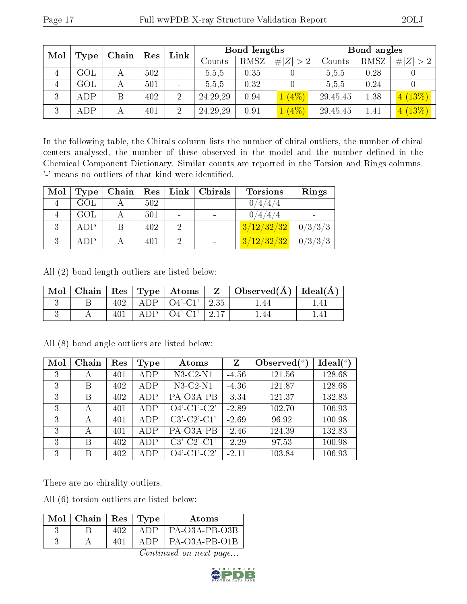| Mol<br>Type | Chain          | Res | Link |                | Bond lengths |      | Bond angles |          |             |             |        |      |             |
|-------------|----------------|-----|------|----------------|--------------|------|-------------|----------|-------------|-------------|--------|------|-------------|
|             |                |     |      |                |              |      |             | Counts   | <b>RMSZ</b> | # $ Z  > 2$ | Counts | RMSZ | # $ Z  > 2$ |
| 4           | $\mathrm{GOL}$ |     | 502  |                | 5,5,5        | 0.35 |             | 5,5,5    | 0.28        |             |        |      |             |
| 4           | $\rm GOL$      |     | 501  |                | 5,5,5        | 0.32 |             | 5,5,5    | 0.24        |             |        |      |             |
| 3           | ADP            | B   | 402  | $\overline{2}$ | 24, 29, 29   | 0.94 | $1(4\%)$    | 29,45,45 | 1.38        | 4(13%)      |        |      |             |
| 3           | ADP            |     | 401  | 2              | 24, 29, 29   | 0.91 | $1(4\%)$    | 29,45,45 | 1.41        | 4(13%)      |        |      |             |

In the following table, the Chirals column lists the number of chiral outliers, the number of chiral centers analysed, the number of these observed in the model and the number defined in the Chemical Component Dictionary. Similar counts are reported in the Torsion and Rings columns. '-' means no outliers of that kind were identified.

| Mol          | Type | Chain | ${\rm Res}$ | $\mathop{\rm Link}\nolimits$ | Chirals | <b>Torsions</b> | Rings   |
|--------------|------|-------|-------------|------------------------------|---------|-----------------|---------|
|              | GOL  |       | 502         |                              |         | 0/4/4/4         |         |
|              | GOL  |       | 501         |                              |         | 0/4/4/4         |         |
| $\mathbf{Q}$ | ADP  |       | 402         |                              |         | 3/12/32/32      | 0/3/3/3 |
|              | ADP  |       | 401         |                              |         | 3/12/32/32      | 0/3/3/3 |

All (2) bond length outliers are listed below:

|  |  | Mol   Chain   Res   Type   Atoms | $\parallel$ Z $\parallel$ Observed(A) $\parallel$ Ideal(A) |  |
|--|--|----------------------------------|------------------------------------------------------------|--|
|  |  | $ADP$   $O4'-C1'$   2.35         | l .44                                                      |  |
|  |  | ADP $\vert$ O4'-C1' $\vert$ 2.17 | l .44                                                      |  |

| Mol | Chain | Res | Type | Atoms          | Z       | Observed $(°)$ | $Ideal(^o)$ |
|-----|-------|-----|------|----------------|---------|----------------|-------------|
| 3   | А     | 401 | ADP  | $N3-C2-N1$     | $-4.56$ | 121.56         | 128.68      |
| 3   | B     | 402 | ADP  | $N3-C2-N1$     | $-4.36$ | 121.87         | 128.68      |
| 3   | B     | 402 | ADP  | PA-O3A-PB      | $-3.34$ | 121.37         | 132.83      |
| 3   | А     | 401 | ADP  | $O4'$ -C1'-C2' | $-2.89$ | 102.70         | 106.93      |
| 3   | А     | 401 | ADP  | $C3'-C2'-C1'$  | $-2.69$ | 96.92          | 100.98      |
| 3   | А     | 401 | ADP  | PA-O3A-PB      | $-2.46$ | 124.39         | 132.83      |
| 3   | B     | 402 | ADP  | $C3'-C2'-C1'$  | $-2.29$ | 97.53          | 100.98      |
| 3   | B     | 402 | ADP  | $O4'$ -C1'-C2' | $-2.11$ | 103.84         | 106.93      |

All (8) bond angle outliers are listed below:

There are no chirality outliers.

All (6) torsion outliers are listed below:

| Mol | Chain | $\mathbf{Res}$ | Type | Atoms           |
|-----|-------|----------------|------|-----------------|
|     |       | 409            | A DP | $PA-O3A-PB-O3B$ |
|     |       | 101            | A DP | $PA-O3A-PB-O1B$ |

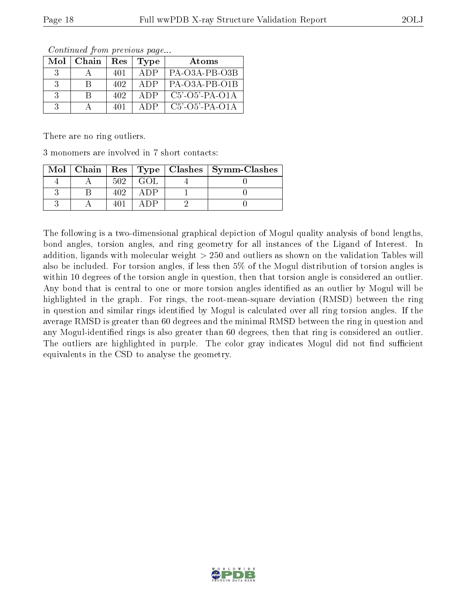| Mol           | Chain | Res | Type | Atoms                    |
|---------------|-------|-----|------|--------------------------|
| $\mathcal{R}$ |       | 401 | ADP  | PA-O3A-PB-O3B            |
| $\mathcal{R}$ | R     | 402 | ADP  | PA-O3A-PB-O1B            |
| $\mathcal{R}$ |       | 402 | ADP  | $C5'$ -O5'-PA-O1A        |
| $\mathcal{R}$ |       | 401 | ADP. | $C5'$ - $O5'$ -PA- $O1A$ |

There are no ring outliers.

3 monomers are involved in 7 short contacts:

| Mol |     |  | Chain   Res   Type   Clashes   Symm-Clashes |
|-----|-----|--|---------------------------------------------|
|     | 502 |  |                                             |
|     |     |  |                                             |
|     |     |  |                                             |

The following is a two-dimensional graphical depiction of Mogul quality analysis of bond lengths, bond angles, torsion angles, and ring geometry for all instances of the Ligand of Interest. In addition, ligands with molecular weight > 250 and outliers as shown on the validation Tables will also be included. For torsion angles, if less then 5% of the Mogul distribution of torsion angles is within 10 degrees of the torsion angle in question, then that torsion angle is considered an outlier. Any bond that is central to one or more torsion angles identified as an outlier by Mogul will be highlighted in the graph. For rings, the root-mean-square deviation (RMSD) between the ring in question and similar rings identified by Mogul is calculated over all ring torsion angles. If the average RMSD is greater than 60 degrees and the minimal RMSD between the ring in question and any Mogul-identified rings is also greater than 60 degrees, then that ring is considered an outlier. The outliers are highlighted in purple. The color gray indicates Mogul did not find sufficient equivalents in the CSD to analyse the geometry.

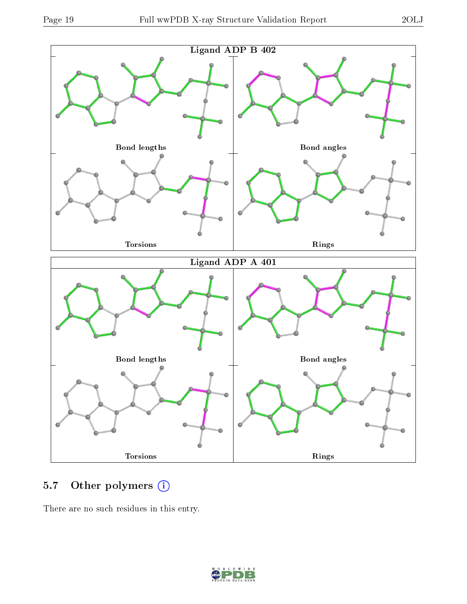

### 5.7 [O](https://www.wwpdb.org/validation/2017/XrayValidationReportHelp#nonstandard_residues_and_ligands)ther polymers (i)

There are no such residues in this entry.

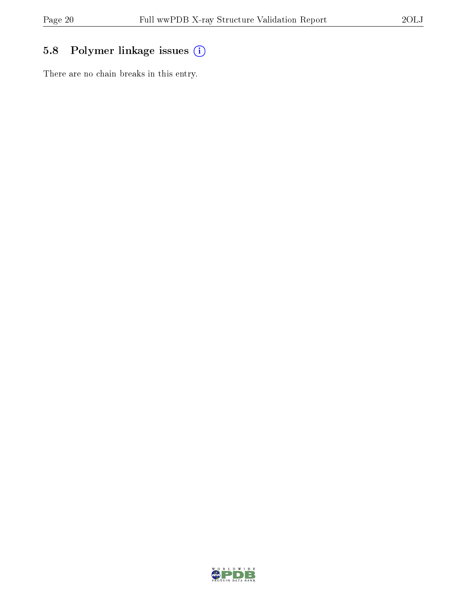### 5.8 Polymer linkage issues (i)

There are no chain breaks in this entry.

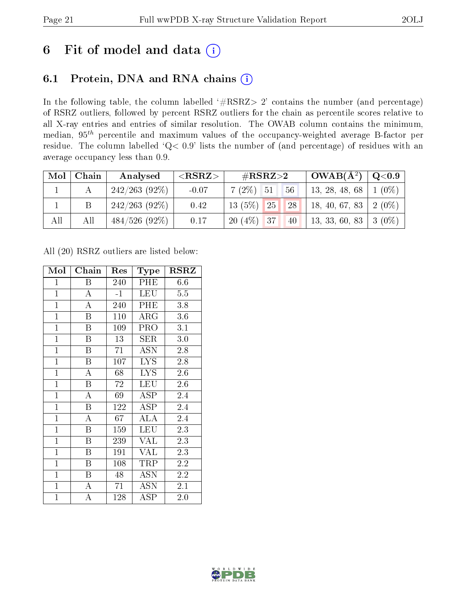### 6 Fit of model and data  $(i)$

### 6.1 Protein, DNA and RNA chains  $(i)$

In the following table, the column labelled  $#RSRZ> 2'$  contains the number (and percentage) of RSRZ outliers, followed by percent RSRZ outliers for the chain as percentile scores relative to all X-ray entries and entries of similar resolution. The OWAB column contains the minimum, median,  $95<sup>th</sup>$  percentile and maximum values of the occupancy-weighted average B-factor per residue. The column labelled ' $Q< 0.9$ ' lists the number of (and percentage) of residues with an average occupancy less than 0.9.

| Mol | Chain | Analysed         | $<$ RSRZ $>$ | $\rm \#RSRZ{>}2$          | $\text{OWAB}(\AA^2)   Q<0.9$ |  |
|-----|-------|------------------|--------------|---------------------------|------------------------------|--|
|     |       | $242/263$ (92\%) | $-0.07$      | 56<br>$7(2\%)$ 51         | 13, 28, 48, 68   1 (0\%)     |  |
|     |       | $242/263$ (92\%) | 0.42         | $13(5\%)$ 25<br><b>28</b> | 18, 40, 67, 83   2 $(0\%)$   |  |
| All | All   | $484/526$ (92\%) | 0.17         | $20(4\%)$ 37<br>40        | 13, 33, 60, 83   3 (0\%)     |  |

All (20) RSRZ outliers are listed below:

| Mol            | Chain                   | Res  | Type                                    | <b>RSRZ</b>      |
|----------------|-------------------------|------|-----------------------------------------|------------------|
| $\mathbf{1}$   | $\boldsymbol{B}$        | 240  | PHE                                     | 6.6              |
| $\overline{1}$ | $\boldsymbol{A}$        | $-1$ | <b>LEU</b>                              | $5.5\,$          |
| $\overline{1}$ | $\overline{\rm A}$      | 240  | PHE                                     | 3.8              |
| $\overline{1}$ | B                       | 110  | $\rm{ARG}$                              | 3.6              |
| $\overline{1}$ | $\boldsymbol{B}$        | 109  | PRO                                     | 3.1              |
| $\overline{1}$ | B                       | 13   | SER                                     | 3.0              |
| $\overline{1}$ | B                       | 71   | <b>ASN</b>                              | 2.8              |
| $\overline{1}$ | $\overline{B}$          | 107  | $\overline{\text{L} \text{Y}} \text{S}$ | 2.8              |
| $\mathbf{1}$   | $\boldsymbol{A}$        | 68   | <b>LYS</b>                              | 2.6              |
| $\mathbf{1}$   | $\overline{\mathrm{B}}$ | 72   | LEU                                     | 2.6              |
| $\mathbf{1}$   | A                       | 69   | ASP                                     | 2.4              |
| $\overline{1}$ | $\overline{\mathrm{B}}$ | 122  | <b>ASP</b>                              | $2.\overline{4}$ |
| $\mathbf{1}$   | A                       | 67   | ALA                                     | 2.4              |
| $\mathbf{1}$   | $\boldsymbol{B}$        | 159  | <b>LEU</b>                              | 2.3              |
| $\overline{1}$ | B                       | 239  | <b>VAL</b>                              | 2.3              |
| $\overline{1}$ | $\boldsymbol{B}$        | 191  | <b>VAL</b>                              | 2.3              |
| $\overline{1}$ | B                       | 108  | TRP                                     | 2.2              |
| $\mathbf{1}$   | $\boldsymbol{B}$        | 48   | <b>ASN</b>                              | 2.2              |
| $\mathbf{1}$   | $\overline{A}$          | 71   | <b>ASN</b>                              | 2.1              |
| $\mathbf{1}$   | A                       | 128  | ASP                                     | 2.0              |

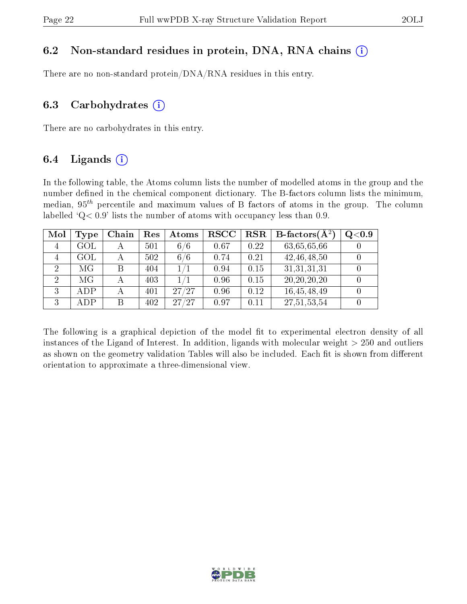#### 6.2 Non-standard residues in protein, DNA, RNA chains  $(i)$

There are no non-standard protein/DNA/RNA residues in this entry.

#### 6.3 Carbohydrates  $(i)$

There are no carbohydrates in this entry.

#### 6.4 Ligands  $(i)$

In the following table, the Atoms column lists the number of modelled atoms in the group and the number defined in the chemical component dictionary. The B-factors column lists the minimum, median,  $95<sup>th</sup>$  percentile and maximum values of B factors of atoms in the group. The column labelled  $Q< 0.9$ ' lists the number of atoms with occupancy less than 0.9.

| Mol            | $_{\rm Type}$  | Chain        | Res | <b>Atoms</b>         | $_{\rm RSCC}$ | <b>RSR</b> | <b>B</b> -factors $\overline{(A^2)}$ | Q <sub>0.9</sub> |
|----------------|----------------|--------------|-----|----------------------|---------------|------------|--------------------------------------|------------------|
| $\overline{4}$ | $\rm GOL$      |              | 501 | 6/6                  | 0.67          | 0.22       | 63,65,65,66                          |                  |
| 4              | $\mathrm{GOL}$ | $\mathbf{A}$ | 502 | 6 <sub>1</sub><br>/6 | 0.74          | 0.21       | 42, 46, 48, 50                       |                  |
| $\overline{2}$ | МG             | B            | 404 |                      | 0.94          | 0.15       | 31,31,31,31                          |                  |
| $\overline{2}$ | МG             |              | 403 |                      | 0.96          | 0.15       | 20, 20, 20, 20                       |                  |
| 3              | <b>ADP</b>     |              | 401 | 27/27                | 0.96          | 0.12       | 16,45,48,49                          |                  |
| 3              | ADP            | В            | 402 | /27<br>27            | 0.97          | 0.11       | 27,51,53,54                          |                  |

The following is a graphical depiction of the model fit to experimental electron density of all instances of the Ligand of Interest. In addition, ligands with molecular weight  $> 250$  and outliers as shown on the geometry validation Tables will also be included. Each fit is shown from different orientation to approximate a three-dimensional view.

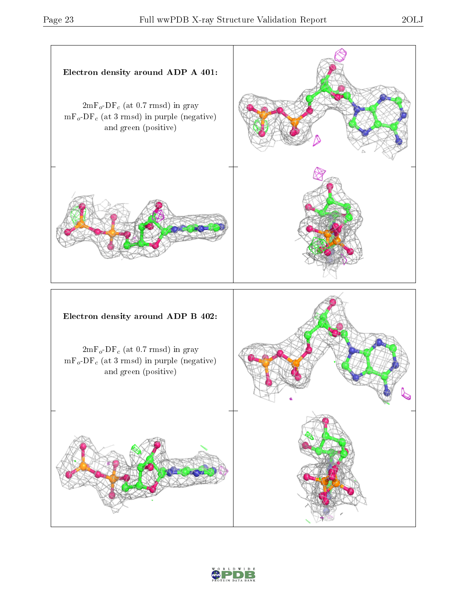